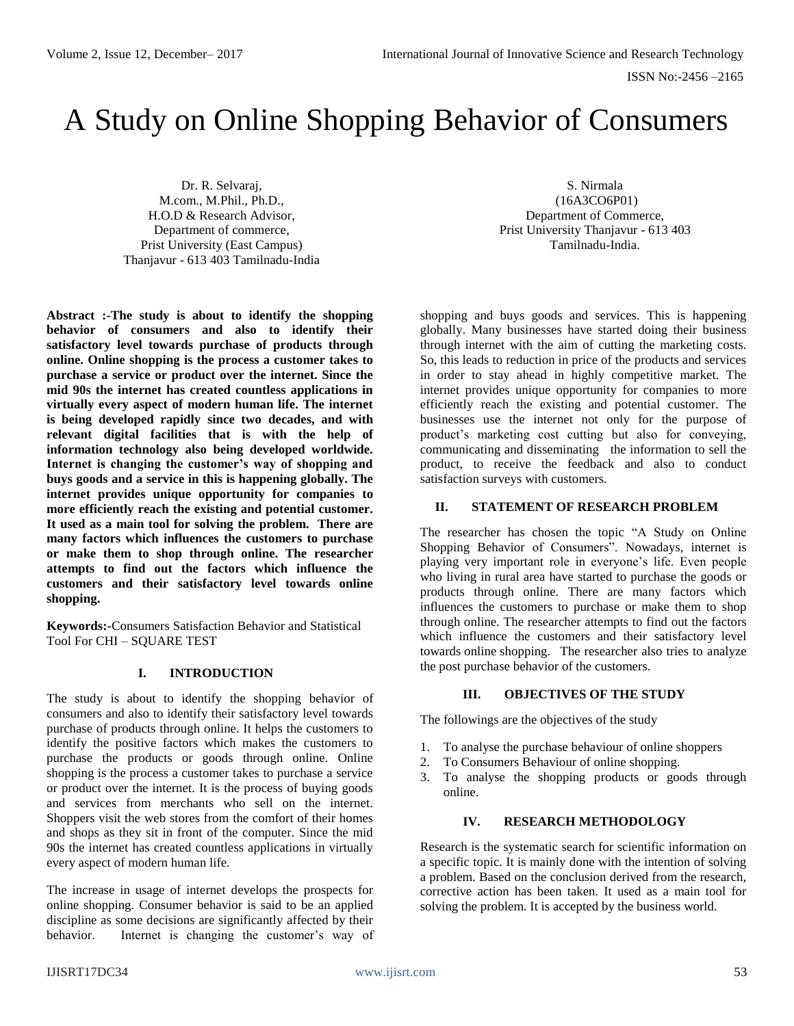# A Study on Online Shopping Behavior of Consumers

Dr. R. Selvaraj, M.com., M.Phil., Ph.D., H.O.D & Research Advisor, Department of commerce, Prist University (East Campus) Thanjavur - 613 403 Tamilnadu-India

**Abstract :-The study is about to identify the shopping behavior of consumers and also to identify their satisfactory level towards purchase of products through online. Online shopping is the process a customer takes to purchase a service or product over the internet. Since the mid 90s the internet has created countless applications in virtually every aspect of modern human life. The internet is being developed rapidly since two decades, and with relevant digital facilities that is with the help of information technology also being developed worldwide. Internet is changing the customer's way of shopping and buys goods and a service in this is happening globally. The internet provides unique opportunity for companies to more efficiently reach the existing and potential customer. It used as a main tool for solving the problem. There are many factors which influences the customers to purchase or make them to shop through online. The researcher attempts to find out the factors which influence the customers and their satisfactory level towards online shopping.**

**Keywords:-**Consumers Satisfaction Behavior and Statistical Tool For CHI – SQUARE TEST

# **I. INTRODUCTION**

The study is about to identify the shopping behavior of consumers and also to identify their satisfactory level towards purchase of products through online. It helps the customers to identify the positive factors which makes the customers to purchase the products or goods through online. Online shopping is the process a customer takes to purchase a service or product over the internet. It is the process of buying goods and services from merchants who sell on the internet. Shoppers visit the web stores from the comfort of their homes and shops as they sit in front of the computer. Since the mid 90s the internet has created countless applications in virtually every aspect of modern human life.

The increase in usage of internet develops the prospects for online shopping. Consumer behavior is said to be an applied discipline as some decisions are significantly affected by their behavior. Internet is changing the customer's way of

S. Nirmala (16A3CO6P01) Department of Commerce, Prist University Thanjavur - 613 403 Tamilnadu-India.

shopping and buys goods and services. This is happening globally. Many businesses have started doing their business through internet with the aim of cutting the marketing costs. So, this leads to reduction in price of the products and services in order to stay ahead in highly competitive market. The internet provides unique opportunity for companies to more efficiently reach the existing and potential customer. The businesses use the internet not only for the purpose of product's marketing cost cutting but also for conveying, communicating and disseminating the information to sell the product, to receive the feedback and also to conduct satisfaction surveys with customers.

# **II. STATEMENT OF RESEARCH PROBLEM**

The researcher has chosen the topic "A Study on Online Shopping Behavior of Consumers". Nowadays, internet is playing very important role in everyone's life. Even people who living in rural area have started to purchase the goods or products through online. There are many factors which influences the customers to purchase or make them to shop through online. The researcher attempts to find out the factors which influence the customers and their satisfactory level towards online shopping. The researcher also tries to analyze the post purchase behavior of the customers.

# **III. OBJECTIVES OF THE STUDY**

The followings are the objectives of the study

- 1. To analyse the purchase behaviour of online shoppers
- 2. To Consumers Behaviour of online shopping.
- 3. To analyse the shopping products or goods through online.

## **IV. RESEARCH METHODOLOGY**

Research is the systematic search for scientific information on a specific topic. It is mainly done with the intention of solving a problem. Based on the conclusion derived from the research, corrective action has been taken. It used as a main tool for solving the problem. It is accepted by the business world.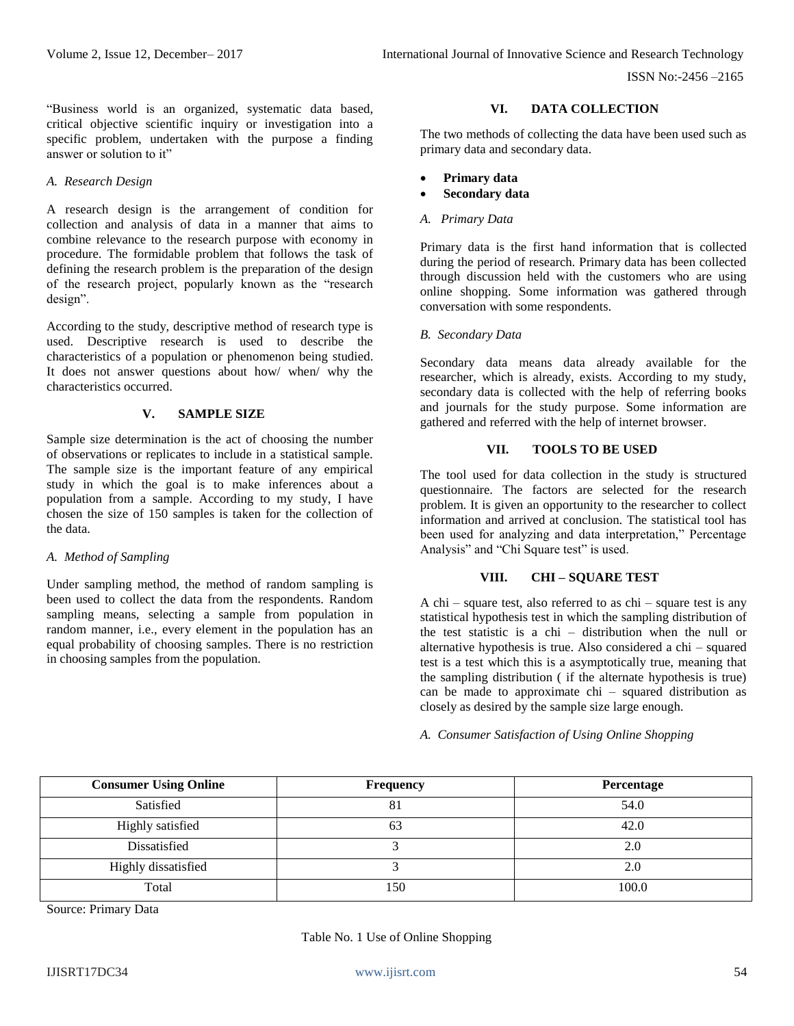ISSN No:-2456 –2165

"Business world is an organized, systematic data based, critical objective scientific inquiry or investigation into a specific problem, undertaken with the purpose a finding answer or solution to it"

## *A. Research Design*

A research design is the arrangement of condition for collection and analysis of data in a manner that aims to combine relevance to the research purpose with economy in procedure. The formidable problem that follows the task of defining the research problem is the preparation of the design of the research project, popularly known as the "research design".

According to the study, descriptive method of research type is used. Descriptive research is used to describe the characteristics of a population or phenomenon being studied. It does not answer questions about how/ when/ why the characteristics occurred.

## **V. SAMPLE SIZE**

Sample size determination is the act of choosing the number of observations or replicates to include in a statistical sample. The sample size is the important feature of any empirical study in which the goal is to make inferences about a population from a sample. According to my study, I have chosen the size of 150 samples is taken for the collection of the data.

# *A. Method of Sampling*

Under sampling method, the method of random sampling is been used to collect the data from the respondents. Random sampling means, selecting a sample from population in random manner, i.e., every element in the population has an equal probability of choosing samples. There is no restriction in choosing samples from the population.

# **VI. DATA COLLECTION**

The two methods of collecting the data have been used such as primary data and secondary data.

- **Primary data**
- **Secondary data**
- *A. Primary Data*

Primary data is the first hand information that is collected during the period of research. Primary data has been collected through discussion held with the customers who are using online shopping. Some information was gathered through conversation with some respondents.

#### *B. Secondary Data*

Secondary data means data already available for the researcher, which is already, exists. According to my study, secondary data is collected with the help of referring books and journals for the study purpose. Some information are gathered and referred with the help of internet browser.

# **VII. TOOLS TO BE USED**

The tool used for data collection in the study is structured questionnaire. The factors are selected for the research problem. It is given an opportunity to the researcher to collect information and arrived at conclusion. The statistical tool has been used for analyzing and data interpretation," Percentage Analysis" and "Chi Square test" is used.

# **VIII. CHI – SQUARE TEST**

A chi – square test, also referred to as chi – square test is any statistical hypothesis test in which the sampling distribution of the test statistic is a chi – distribution when the null or alternative hypothesis is true. Also considered a chi – squared test is a test which this is a asymptotically true, meaning that the sampling distribution ( if the alternate hypothesis is true) can be made to approximate chi – squared distribution as closely as desired by the sample size large enough.

## *A. Consumer Satisfaction of Using Online Shopping*

| <b>Consumer Using Online</b> | <b>Frequency</b> | <b>Percentage</b> |  |
|------------------------------|------------------|-------------------|--|
| Satisfied                    | 81               | 54.0              |  |
| Highly satisfied             |                  | 42.0              |  |
| Dissatisfied                 |                  | 2.0               |  |
| Highly dissatisfied          |                  | 2.0               |  |
| Total                        | l 50             | 100.0             |  |

Source: Primary Data

# Table No. 1 Use of Online Shopping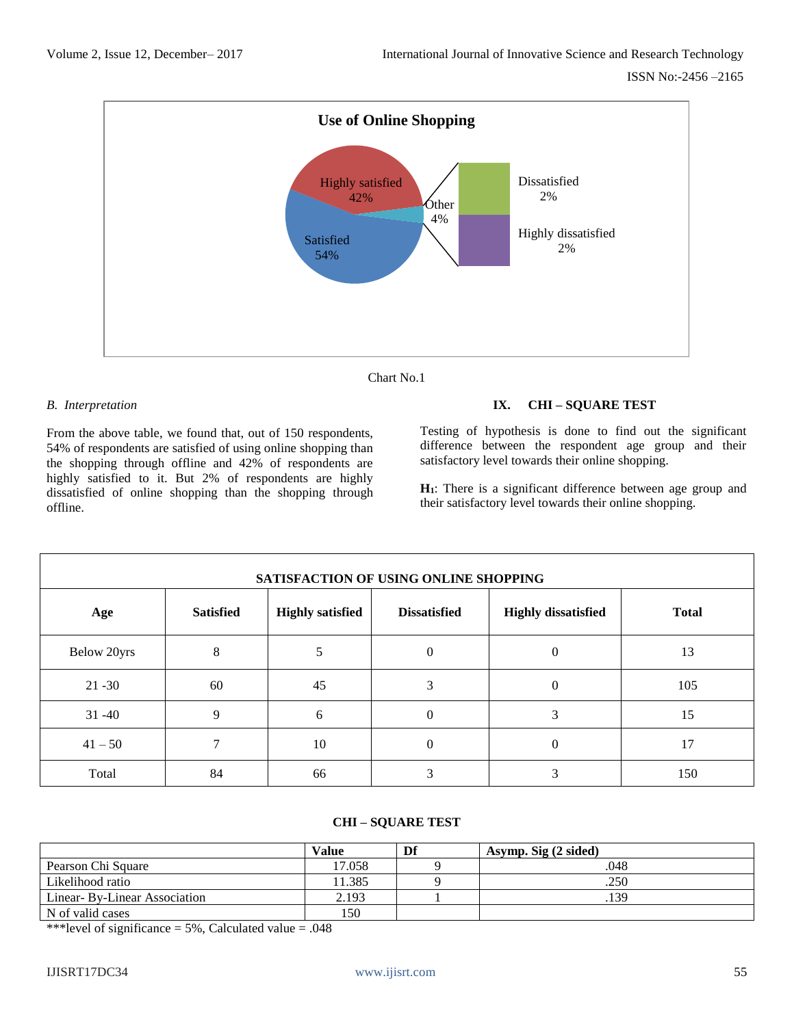

Chart No.1

# *B. Interpretation*

From the above table, we found that, out of 150 respondents, 54% of respondents are satisfied of using online shopping than the shopping through offline and 42% of respondents are highly satisfied to it. But 2% of respondents are highly dissatisfied of online shopping than the shopping through offline.

# **IX. CHI – SQUARE TEST**

Testing of hypothesis is done to find out the significant difference between the respondent age group and their satisfactory level towards their online shopping.

**H1**: There is a significant difference between age group and their satisfactory level towards their online shopping.

| SATISFACTION OF USING ONLINE SHOPPING |                  |                         |                     |                            |              |  |  |
|---------------------------------------|------------------|-------------------------|---------------------|----------------------------|--------------|--|--|
| Age                                   | <b>Satisfied</b> | <b>Highly satisfied</b> | <b>Dissatisfied</b> | <b>Highly dissatisfied</b> | <b>Total</b> |  |  |
| Below 20yrs                           | 8                |                         | $\Omega$            |                            | 13           |  |  |
| $21 - 30$                             | 60               | 45                      |                     | 0                          | 105          |  |  |
| $31 - 40$                             | 9                | 6                       | $\Omega$            | 3                          | 15           |  |  |
| $41 - 50$                             | ⇁                | 10                      | $\Omega$            | 0                          | 17           |  |  |
| Total                                 | 84               | 66                      |                     | 3                          | 150          |  |  |

# **CHI – SQUARE TEST**

|                              | <b>Value</b> | Df | Asymp. Sig (2 sided) |
|------------------------------|--------------|----|----------------------|
| Pearson Chi Square           | 17.058       |    | .048                 |
| Likelihood ratio             | 11.385       |    | .250                 |
| Linear-By-Linear Association | 2.193        |    | .139                 |
| N of valid cases             | 150          |    |                      |

\*\*\*level of significance =  $5\%$ , Calculated value = .048